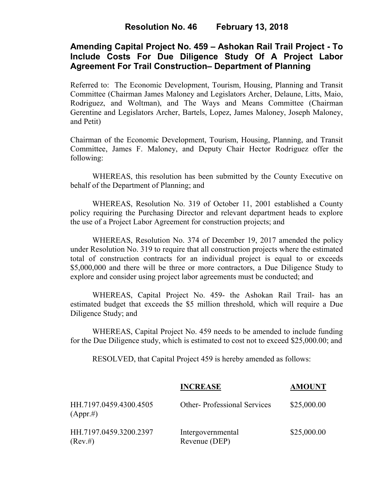# **Amending Capital Project No. 459 – Ashokan Rail Trail Project - To Include Costs For Due Diligence Study Of A Project Labor Agreement For Trail Construction– Department of Planning**

Referred to: The Economic Development, Tourism, Housing, Planning and Transit Committee (Chairman James Maloney and Legislators Archer, Delaune, Litts, Maio, Rodriguez, and Woltman), and The Ways and Means Committee (Chairman Gerentine and Legislators Archer, Bartels, Lopez, James Maloney, Joseph Maloney, and Petit)

Chairman of the Economic Development, Tourism, Housing, Planning, and Transit Committee, James F. Maloney, and Deputy Chair Hector Rodriguez offer the following:

WHEREAS, this resolution has been submitted by the County Executive on behalf of the Department of Planning; and

WHEREAS, Resolution No. 319 of October 11, 2001 established a County policy requiring the Purchasing Director and relevant department heads to explore the use of a Project Labor Agreement for construction projects; and

WHEREAS, Resolution No. 374 of December 19, 2017 amended the policy under Resolution No. 319 to require that all construction projects where the estimated total of construction contracts for an individual project is equal to or exceeds \$5,000,000 and there will be three or more contractors, a Due Diligence Study to explore and consider using project labor agreements must be conducted; and

WHEREAS, Capital Project No. 459- the Ashokan Rail Trail- has an estimated budget that exceeds the \$5 million threshold, which will require a Due Diligence Study; and

WHEREAS, Capital Project No. 459 needs to be amended to include funding for the Due Diligence study, which is estimated to cost not to exceed \$25,000.00; and

RESOLVED, that Capital Project 459 is hereby amended as follows:

|                                        | <b>INCREASE</b>                    | <b>AMOUNT</b> |
|----------------------------------------|------------------------------------|---------------|
| HH.7197.0459.4300.4505<br>$(Appr. \#)$ | <b>Other-Professional Services</b> | \$25,000.00   |
| HH.7197.0459.3200.2397<br>(Rev. #)     | Intergovernmental<br>Revenue (DEP) | \$25,000.00   |